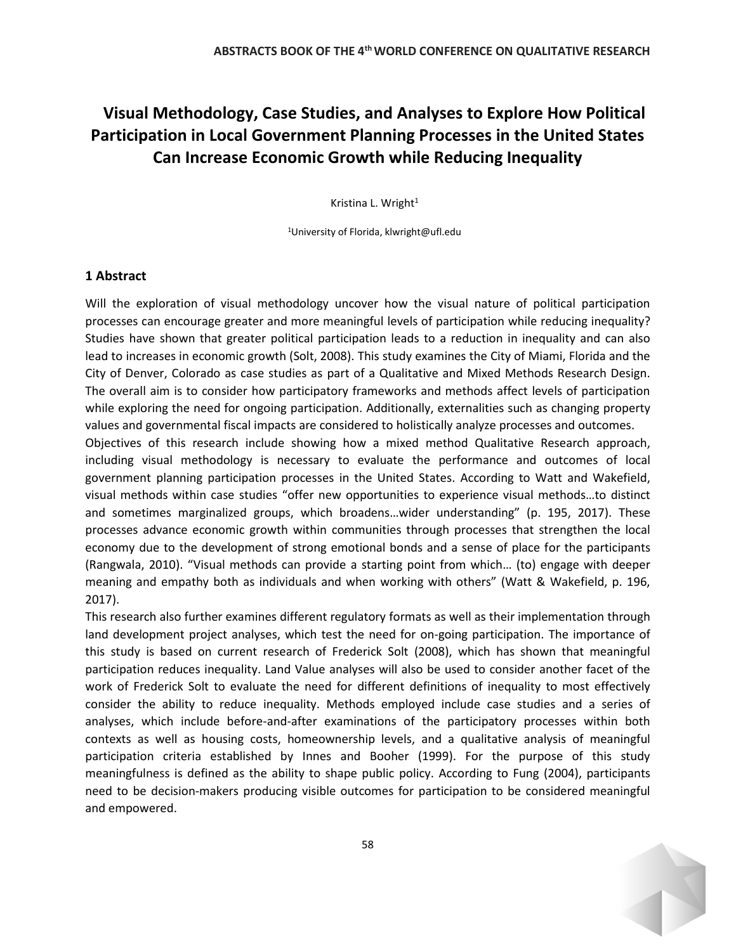## **Visual Methodology, Case Studies, and Analyses to Explore How Political Participation in Local Government Planning Processes in the United States Can Increase Economic Growth while Reducing Inequality**

Kristina L. Wright<sup>1</sup>

<sup>1</sup>University of Florida, klwright@ufl.edu

## **1 Abstract**

Will the exploration of visual methodology uncover how the visual nature of political participation processes can encourage greater and more meaningful levels of participation while reducing inequality? Studies have shown that greater political participation leads to a reduction in inequality and can also lead to increases in economic growth (Solt, 2008). This study examines the City of Miami, Florida and the City of Denver, Colorado as case studies as part of a Qualitative and Mixed Methods Research Design. The overall aim is to consider how participatory frameworks and methods affect levels of participation while exploring the need for ongoing participation. Additionally, externalities such as changing property values and governmental fiscal impacts are considered to holistically analyze processes and outcomes.

Objectives of this research include showing how a mixed method Qualitative Research approach, including visual methodology is necessary to evaluate the performance and outcomes of local government planning participation processes in the United States. According to Watt and Wakefield, visual methods within case studies "offer new opportunities to experience visual methods…to distinct and sometimes marginalized groups, which broadens…wider understanding" (p. 195, 2017). These processes advance economic growth within communities through processes that strengthen the local economy due to the development of strong emotional bonds and a sense of place for the participants (Rangwala, 2010). "Visual methods can provide a starting point from which… (to) engage with deeper meaning and empathy both as individuals and when working with others" (Watt & Wakefield, p. 196, 2017).

This research also further examines different regulatory formats as well as their implementation through land development project analyses, which test the need for on-going participation. The importance of this study is based on current research of Frederick Solt (2008), which has shown that meaningful participation reduces inequality. Land Value analyses will also be used to consider another facet of the work of Frederick Solt to evaluate the need for different definitions of inequality to most effectively consider the ability to reduce inequality. Methods employed include case studies and a series of analyses, which include before-and-after examinations of the participatory processes within both contexts as well as housing costs, homeownership levels, and a qualitative analysis of meaningful participation criteria established by Innes and Booher (1999). For the purpose of this study meaningfulness is defined as the ability to shape public policy. According to Fung (2004), participants need to be decision-makers producing visible outcomes for participation to be considered meaningful and empowered.

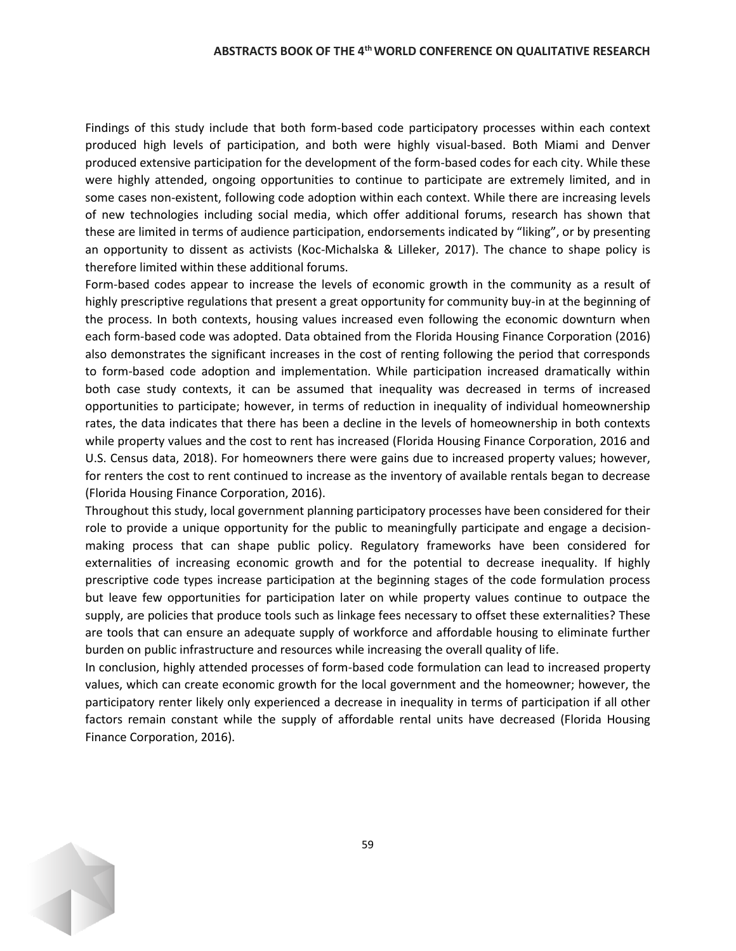Findings of this study include that both form-based code participatory processes within each context produced high levels of participation, and both were highly visual-based. Both Miami and Denver produced extensive participation for the development of the form-based codes for each city. While these were highly attended, ongoing opportunities to continue to participate are extremely limited, and in some cases non-existent, following code adoption within each context. While there are increasing levels of new technologies including social media, which offer additional forums, research has shown that these are limited in terms of audience participation, endorsements indicated by "liking", or by presenting an opportunity to dissent as activists (Koc-Michalska & Lilleker, 2017). The chance to shape policy is therefore limited within these additional forums.

Form-based codes appear to increase the levels of economic growth in the community as a result of highly prescriptive regulations that present a great opportunity for community buy-in at the beginning of the process. In both contexts, housing values increased even following the economic downturn when each form-based code was adopted. Data obtained from the Florida Housing Finance Corporation (2016) also demonstrates the significant increases in the cost of renting following the period that corresponds to form-based code adoption and implementation. While participation increased dramatically within both case study contexts, it can be assumed that inequality was decreased in terms of increased opportunities to participate; however, in terms of reduction in inequality of individual homeownership rates, the data indicates that there has been a decline in the levels of homeownership in both contexts while property values and the cost to rent has increased (Florida Housing Finance Corporation, 2016 and U.S. Census data, 2018). For homeowners there were gains due to increased property values; however, for renters the cost to rent continued to increase as the inventory of available rentals began to decrease (Florida Housing Finance Corporation, 2016).

Throughout this study, local government planning participatory processes have been considered for their role to provide a unique opportunity for the public to meaningfully participate and engage a decisionmaking process that can shape public policy. Regulatory frameworks have been considered for externalities of increasing economic growth and for the potential to decrease inequality. If highly prescriptive code types increase participation at the beginning stages of the code formulation process but leave few opportunities for participation later on while property values continue to outpace the supply, are policies that produce tools such as linkage fees necessary to offset these externalities? These are tools that can ensure an adequate supply of workforce and affordable housing to eliminate further burden on public infrastructure and resources while increasing the overall quality of life.

In conclusion, highly attended processes of form-based code formulation can lead to increased property values, which can create economic growth for the local government and the homeowner; however, the participatory renter likely only experienced a decrease in inequality in terms of participation if all other factors remain constant while the supply of affordable rental units have decreased (Florida Housing Finance Corporation, 2016).